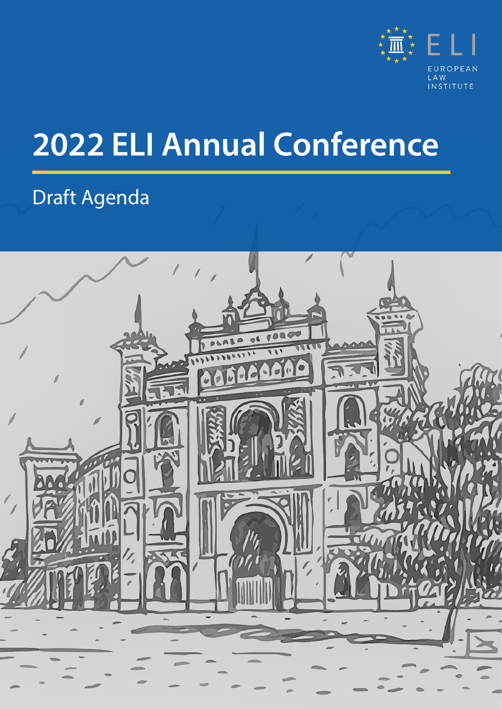

# **2022 ELI Annual Conference**

### Draft Agenda

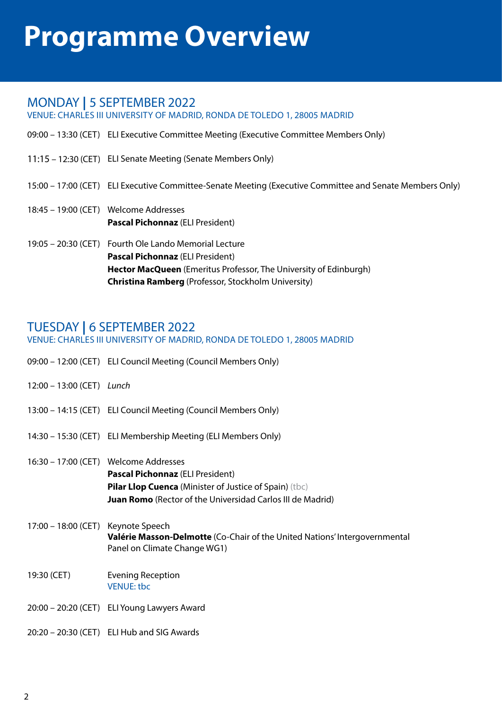# **Programme Overview**

### MONDAY **|** 5 SEPTEMBER 2022

VENUE: CHARLES III UNIVERSITY OF MADRID, RONDA DE TOLEDO 1, 28005 MADRID

- 09:00 13:30 (CET) ELI Executive Committee Meeting (Executive Committee Members Only)
- 11:15 12:30 (CET) ELI Senate Meeting (Senate Members Only)

#### 15:00 – 17:00 (CET) ELI Executive Committee-Senate Meeting (Executive Committee and Senate Members Only)

- 18:45 19:00 (CET) Welcome Addresses **Pascal Pichonnaz** (ELI President)
- 19:05 20:30 (CET) Fourth Ole Lando Memorial Lecture **Pascal Pichonnaz** (ELI President) **Hector MacQueen** (Emeritus Professor, The University of Edinburgh) **Christina Ramberg** (Professor, Stockholm University)

### TUESDAY **|** 6 SEPTEMBER 2022

#### VENUE: CHARLES III UNIVERSITY OF MADRID, RONDA DE TOLEDO 1, 28005 MADRID

- 09:00 12:00 (CET) ELI Council Meeting (Council Members Only)
- 12:00 13:00 (CET) *Lunch*
- 13:00 14:15 (CET) ELI Council Meeting (Council Members Only)
- 14:30 15:30 (CET) ELI Membership Meeting (ELI Members Only)
- 16:30 17:00 (CET) Welcome Addresses **Pascal Pichonnaz** (ELI President) **Pilar Llop Cuenca** (Minister of Justice of Spain) (tbc) **Juan Romo** (Rector of the Universidad Carlos III de Madrid)
- 17:00 18:00 (CET) Keynote Speech **Valérie Masson-Delmotte** (Co-Chair of the United Nations' Intergovernmental Panel on Climate Change WG1)
- 19:30 (CET) Evening Reception VENUE: tbc
- 20:00 20:20 (CET) ELI Young Lawyers Award
- 20:20 20:30 (CET) ELI Hub and SIG Awards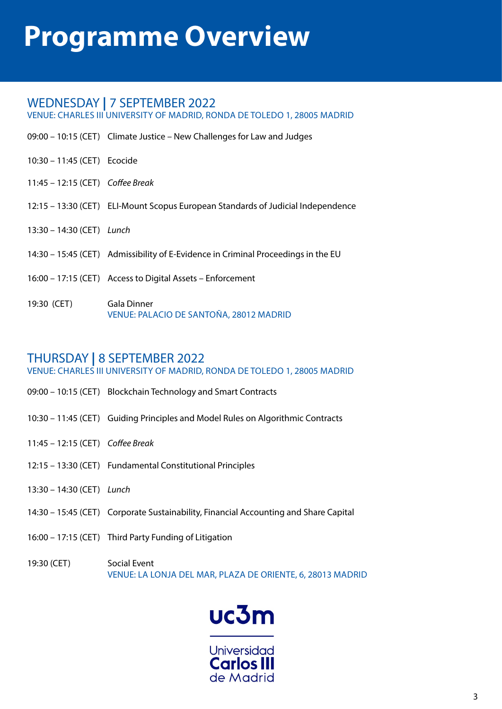# **Programme Overview**

### WEDNESDAY **|** 7 SEPTEMBER 2022

VENUE: CHARLES III UNIVERSITY OF MADRID, RONDA DE TOLEDO 1, 28005 MADRID

- 09:00 10:15 (CET) Climate Justice New Challenges for Law and Judges
- 10:30 11:45 (CET) Ecocide
- 11:45 12:15 (CET) *Coffee Break*
- 12:15 13:30 (CET) ELI-Mount Scopus European Standards of Judicial Independence
- 13:30 14:30 (CET) *Lunch*
- 14:30 15:45 (CET) Admissibility of E-Evidence in Criminal Proceedings in the EU
- 16:00 17:15 (CET) Access to Digital Assets Enforcement
- 19:30 (CET) Gala Dinner VENUE: PALACIO DE SANTOÑA, 28012 MADRID

### THURSDAY **|** 8 SEPTEMBER 2022

VENUE: CHARLES III UNIVERSITY OF MADRID, RONDA DE TOLEDO 1, 28005 MADRID

- 09:00 10:15 (CET) Blockchain Technology and Smart Contracts
- 10:30 11:45 (CET) Guiding Principles and Model Rules on Algorithmic Contracts
- 11:45 12:15 (CET) *Coffee Break*
- 12:15 13:30 (CET) Fundamental Constitutional Principles
- 13:30 14:30 (CET) *Lunch*
- 14:30 15:45 (CET) Corporate Sustainability, Financial Accounting and Share Capital
- 16:00 17:15 (CET) Third Party Funding of Litigation
- 19:30 (CET) Social Event VENUE: LA LONJA DEL MAR, PLAZA DE ORIENTE, 6, 28013 MADRID